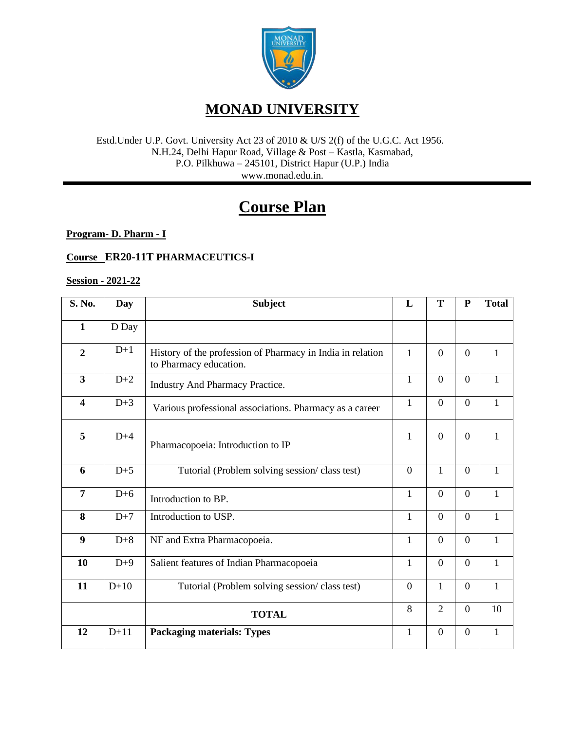

#### Estd.Under U.P. Govt. University Act 23 of 2010 & U/S 2(f) of the U.G.C. Act 1956. N.H.24, Delhi Hapur Road, Village & Post – Kastla, Kasmabad, P.O. Pilkhuwa – 245101, District Hapur (U.P.) India www.monad.edu.in.

# **Course Plan**

**Program- D. Pharm - I**

### **Course ER20-11T PHARMACEUTICS-I**

#### **Session - 2021-22**

| S. No.                  | <b>Day</b> | <b>Subject</b>                                                                       | L              | T                | ${\bf P}$        | <b>Total</b> |
|-------------------------|------------|--------------------------------------------------------------------------------------|----------------|------------------|------------------|--------------|
| $\mathbf{1}$            | D Day      |                                                                                      |                |                  |                  |              |
| $\overline{2}$          | $D+1$      | History of the profession of Pharmacy in India in relation<br>to Pharmacy education. | $\mathbf{1}$   | $\overline{0}$   | $\theta$         | 1            |
| $\mathbf{3}$            | $D+2$      | Industry And Pharmacy Practice.                                                      | $\mathbf{1}$   | $\boldsymbol{0}$ | $\overline{0}$   | $\mathbf{1}$ |
| $\overline{\mathbf{4}}$ | $D+3$      | Various professional associations. Pharmacy as a career                              | $\mathbf{1}$   | $\overline{0}$   | $\overline{0}$   | $\mathbf{1}$ |
| 5                       | $D+4$      | Pharmacopoeia: Introduction to IP                                                    | 1              | $\overline{0}$   | $\theta$         | 1            |
| 6                       | $D+5$      | Tutorial (Problem solving session/class test)                                        | $\overline{0}$ | 1                | $\overline{0}$   | $\mathbf{1}$ |
| $\overline{7}$          | $D+6$      | Introduction to BP.                                                                  | $\mathbf{1}$   | $\overline{0}$   | $\overline{0}$   | 1            |
| 8                       | $D+7$      | Introduction to USP.                                                                 | $\mathbf{1}$   | $\overline{0}$   | $\overline{0}$   | $\mathbf{1}$ |
| $\boldsymbol{9}$        | $D+8$      | NF and Extra Pharmacopoeia.                                                          | $\mathbf{1}$   | $\overline{0}$   | $\overline{0}$   | 1            |
| 10                      | $D+9$      | Salient features of Indian Pharmacopoeia                                             | 1              | $\overline{0}$   | $\Omega$         | 1            |
| 11                      | $D+10$     | Tutorial (Problem solving session/class test)                                        | $\overline{0}$ | $\mathbf{1}$     | $\overline{0}$   | $\mathbf{1}$ |
|                         |            | <b>TOTAL</b>                                                                         | 8              | $\overline{2}$   | $\overline{0}$   | 10           |
| 12                      | $D+11$     | <b>Packaging materials: Types</b>                                                    | $\mathbf{1}$   | $\boldsymbol{0}$ | $\boldsymbol{0}$ | $\mathbf{1}$ |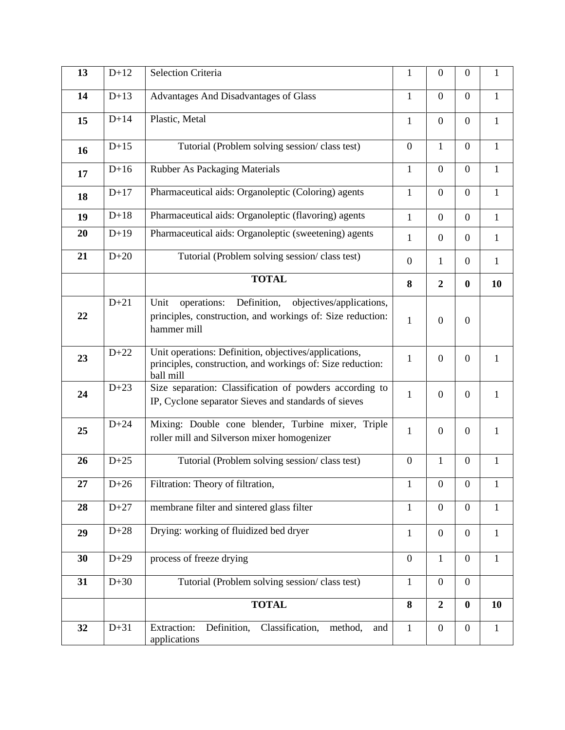| 13 | $D+12$ | Selection Criteria                                                                                                                          | $\mathbf{1}$     | $\boldsymbol{0}$ | $\boldsymbol{0}$ | $\mathbf{1}$ |
|----|--------|---------------------------------------------------------------------------------------------------------------------------------------------|------------------|------------------|------------------|--------------|
| 14 | $D+13$ | Advantages And Disadvantages of Glass                                                                                                       | $\mathbf{1}$     | $\overline{0}$   | $\overline{0}$   | $\mathbf{1}$ |
| 15 | $D+14$ | Plastic, Metal                                                                                                                              | $\mathbf{1}$     | $\boldsymbol{0}$ | $\boldsymbol{0}$ | $\mathbf{1}$ |
| 16 | $D+15$ | Tutorial (Problem solving session/class test)                                                                                               | $\mathbf{0}$     | $\mathbf{1}$     | $\overline{0}$   | $\mathbf{1}$ |
| 17 | $D+16$ | <b>Rubber As Packaging Materials</b>                                                                                                        | $\mathbf{1}$     | $\overline{0}$   | $\overline{0}$   | $\mathbf{1}$ |
| 18 | $D+17$ | Pharmaceutical aids: Organoleptic (Coloring) agents                                                                                         | $\mathbf{1}$     | $\overline{0}$   | $\overline{0}$   | $\mathbf{1}$ |
| 19 | $D+18$ | Pharmaceutical aids: Organoleptic (flavoring) agents                                                                                        | $\mathbf{1}$     | $\boldsymbol{0}$ | $\boldsymbol{0}$ | $\mathbf{1}$ |
| 20 | $D+19$ | Pharmaceutical aids: Organoleptic (sweetening) agents                                                                                       | 1                | $\boldsymbol{0}$ | $\boldsymbol{0}$ | $\mathbf{1}$ |
| 21 | $D+20$ | Tutorial (Problem solving session/class test)                                                                                               | $\overline{0}$   | 1                | $\overline{0}$   | $\mathbf{1}$ |
|    |        | <b>TOTAL</b>                                                                                                                                | 8                | $\overline{2}$   | $\bf{0}$         | 10           |
| 22 | $D+21$ | Definition,<br>Unit<br>objectives/applications,<br>operations:<br>principles, construction, and workings of: Size reduction:<br>hammer mill | $\mathbf{1}$     | $\overline{0}$   | $\overline{0}$   |              |
| 23 | $D+22$ | Unit operations: Definition, objectives/applications,<br>principles, construction, and workings of: Size reduction:<br>ball mill            | $\mathbf{1}$     | $\overline{0}$   | $\overline{0}$   | 1            |
| 24 | $D+23$ | Size separation: Classification of powders according to<br>IP, Cyclone separator Sieves and standards of sieves                             | $\mathbf{1}$     | $\boldsymbol{0}$ | $\boldsymbol{0}$ | $\mathbf{1}$ |
| 25 | $D+24$ | Mixing: Double cone blender, Turbine mixer, Triple<br>roller mill and Silverson mixer homogenizer                                           | $\mathbf{1}$     | $\overline{0}$   | $\overline{0}$   | 1            |
| 26 | $D+25$ | Tutorial (Problem solving session/class test)                                                                                               | $\boldsymbol{0}$ | 1                | $\boldsymbol{0}$ | $\mathbf{1}$ |
| 27 | $D+26$ | Filtration: Theory of filtration,                                                                                                           | $\mathbf{1}$     | $\boldsymbol{0}$ | $\boldsymbol{0}$ | 1            |
| 28 | $D+27$ | membrane filter and sintered glass filter                                                                                                   | $\mathbf{1}$     | $\overline{0}$   | $\overline{0}$   | $\mathbf{1}$ |
| 29 | $D+28$ | Drying: working of fluidized bed dryer                                                                                                      | $\mathbf{1}$     | $\boldsymbol{0}$ | $\boldsymbol{0}$ | $\mathbf{1}$ |
| 30 | $D+29$ | process of freeze drying                                                                                                                    | $\overline{0}$   | $\mathbf{1}$     | $\mathbf{0}$     | $\mathbf{1}$ |
| 31 | $D+30$ | Tutorial (Problem solving session/class test)                                                                                               | $\mathbf{1}$     | $\mathbf{0}$     | $\mathbf{0}$     |              |
|    |        | <b>TOTAL</b>                                                                                                                                | 8                | $\boldsymbol{2}$ | $\bf{0}$         | 10           |
| 32 | $D+31$ | <b>Extraction:</b><br>Definition,<br>Classification,<br>method,<br>and<br>applications                                                      | $\mathbf{1}$     | $\boldsymbol{0}$ | $\overline{0}$   | $\mathbf{1}$ |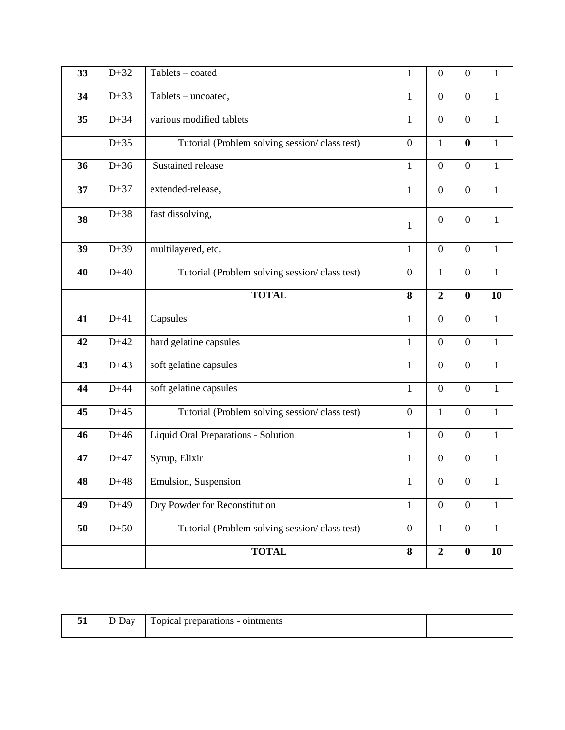| 33 | $D+32$ | Tablets - coated                              | $\mathbf{1}$     | $\boldsymbol{0}$ | $\boldsymbol{0}$ | $\mathbf{1}$ |
|----|--------|-----------------------------------------------|------------------|------------------|------------------|--------------|
| 34 | $D+33$ | Tablets - uncoated,                           | $\mathbf{1}$     | $\boldsymbol{0}$ | $\boldsymbol{0}$ | $\mathbf{1}$ |
| 35 | $D+34$ | various modified tablets                      | $\mathbf{1}$     | $\overline{0}$   | $\overline{0}$   | $\mathbf{1}$ |
|    | $D+35$ | Tutorial (Problem solving session/class test) | $\overline{0}$   | $\mathbf{1}$     | $\bf{0}$         | $\mathbf{1}$ |
| 36 | $D+36$ | Sustained release                             | $\mathbf{1}$     | $\boldsymbol{0}$ | $\boldsymbol{0}$ | $\mathbf{1}$ |
| 37 | $D+37$ | extended-release,                             | $\mathbf{1}$     | $\overline{0}$   | $\overline{0}$   | $\mathbf{1}$ |
| 38 | $D+38$ | fast dissolving,                              | $\mathbf{1}$     | $\boldsymbol{0}$ | $\boldsymbol{0}$ | $\mathbf{1}$ |
| 39 | $D+39$ | multilayered, etc.                            | $\mathbf{1}$     | $\boldsymbol{0}$ | $\overline{0}$   | $\mathbf{1}$ |
| 40 | $D+40$ | Tutorial (Problem solving session/class test) | $\overline{0}$   | $\mathbf{1}$     | $\boldsymbol{0}$ | $\mathbf{1}$ |
|    |        | <b>TOTAL</b>                                  | 8                | $\overline{2}$   | $\bf{0}$         | 10           |
| 41 | $D+41$ | Capsules                                      | $\mathbf{1}$     | $\boldsymbol{0}$ | $\overline{0}$   | $\mathbf{1}$ |
| 42 | $D+42$ | hard gelatine capsules                        | $\mathbf{1}$     | $\boldsymbol{0}$ | $\boldsymbol{0}$ | $\mathbf{1}$ |
| 43 | $D+43$ | soft gelatine capsules                        | $\mathbf{1}$     | $\boldsymbol{0}$ | $\overline{0}$   | $\mathbf{1}$ |
| 44 | $D+44$ | soft gelatine capsules                        | $\mathbf{1}$     | $\boldsymbol{0}$ | $\boldsymbol{0}$ | $\mathbf{1}$ |
| 45 | $D+45$ | Tutorial (Problem solving session/class test) | $\overline{0}$   | $\mathbf{1}$     | $\overline{0}$   | $\mathbf{1}$ |
| 46 | $D+46$ | Liquid Oral Preparations - Solution           | $\mathbf{1}$     | $\overline{0}$   | $\overline{0}$   | $\mathbf{1}$ |
| 47 | $D+47$ | Syrup, Elixir                                 | $\mathbf{1}$     | $\boldsymbol{0}$ | $\boldsymbol{0}$ | $\mathbf{1}$ |
| 48 | $D+48$ | Emulsion, Suspension                          | $\mathbf{1}$     | $\boldsymbol{0}$ | $\boldsymbol{0}$ | 1            |
| 49 | $D+49$ | Dry Powder for Reconstitution                 | $\mathbf{1}$     | $\mathbf{0}$     | $\mathbf{0}$     | $\mathbf{1}$ |
| 50 | $D+50$ | Tutorial (Problem solving session/class test) | $\boldsymbol{0}$ | $\mathbf{1}$     | $\boldsymbol{0}$ | $\mathbf{1}$ |
|    |        | <b>TOTAL</b>                                  | $\bf 8$          | $\overline{2}$   | $\boldsymbol{0}$ | 10           |

| - -<br>ັ້ | 10x | ointments<br>opica<br><b>Drepar</b><br>яновх<br>$\overline{\phantom{0}}$ |  |  |
|-----------|-----|--------------------------------------------------------------------------|--|--|
|           |     |                                                                          |  |  |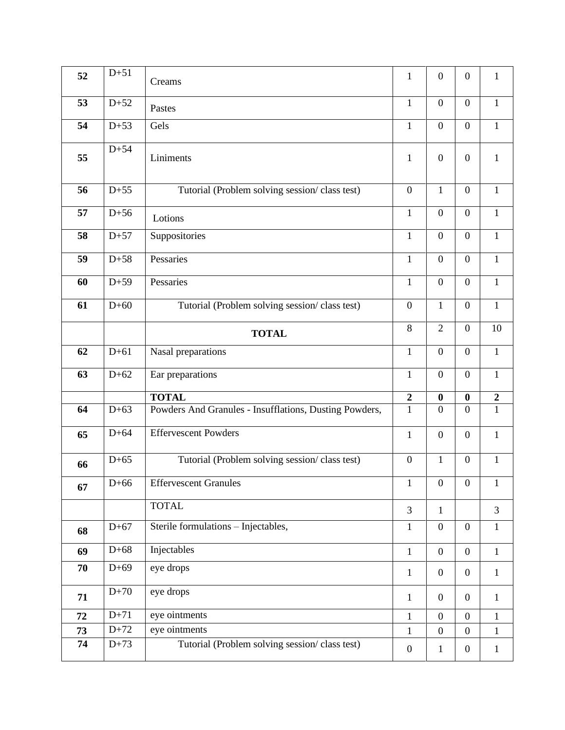| 52 | $D+51$ | Creams                                                 | $\mathbf{1}$     | $\mathbf{0}$     | $\boldsymbol{0}$ | $\mathbf{1}$     |
|----|--------|--------------------------------------------------------|------------------|------------------|------------------|------------------|
| 53 | $D+52$ | Pastes                                                 | $\mathbf{1}$     | $\overline{0}$   | $\overline{0}$   | $\mathbf{1}$     |
| 54 | $D+53$ | Gels                                                   | $\mathbf{1}$     | $\mathbf{0}$     | $\boldsymbol{0}$ | $\mathbf{1}$     |
| 55 | $D+54$ | Liniments                                              | $\mathbf{1}$     | $\overline{0}$   | $\boldsymbol{0}$ | $\mathbf{1}$     |
| 56 | $D+55$ | Tutorial (Problem solving session/class test)          | $\overline{0}$   | $\mathbf{1}$     | $\overline{0}$   | $\mathbf{1}$     |
| 57 | $D+56$ | Lotions                                                | $\mathbf{1}$     | $\mathbf{0}$     | $\overline{0}$   | $\mathbf{1}$     |
| 58 | $D+57$ | Suppositories                                          | $\mathbf{1}$     | $\mathbf{0}$     | $\overline{0}$   | $\mathbf{1}$     |
| 59 | $D+58$ | Pessaries                                              | $\mathbf{1}$     | $\overline{0}$   | $\overline{0}$   | $\mathbf{1}$     |
| 60 | $D+59$ | Pessaries                                              | $\mathbf{1}$     | $\mathbf{0}$     | $\overline{0}$   | $\mathbf{1}$     |
| 61 | $D+60$ | Tutorial (Problem solving session/class test)          | $\mathbf{0}$     | $\mathbf{1}$     | $\boldsymbol{0}$ | $\mathbf{1}$     |
|    |        | <b>TOTAL</b>                                           | $8\,$            | $\overline{2}$   | $\overline{0}$   | 10               |
| 62 | $D+61$ | Nasal preparations                                     | $\mathbf{1}$     | $\mathbf{0}$     | $\overline{0}$   | $\mathbf{1}$     |
| 63 | $D+62$ | Ear preparations                                       | $\mathbf{1}$     | $\mathbf{0}$     | $\boldsymbol{0}$ | $\mathbf{1}$     |
|    |        | <b>TOTAL</b>                                           | $\boldsymbol{2}$ | $\bf{0}$         | $\boldsymbol{0}$ | $\boldsymbol{2}$ |
| 64 | $D+63$ | Powders And Granules - Insufflations, Dusting Powders, | $\overline{1}$   | $\mathbf{0}$     | $\overline{0}$   | $\mathbf{1}$     |
| 65 | $D+64$ | <b>Effervescent Powders</b>                            | $\mathbf{1}$     | $\mathbf{0}$     | $\overline{0}$   | $\mathbf{1}$     |
| 66 | $D+65$ | Tutorial (Problem solving session/class test)          | $\boldsymbol{0}$ | 1                | $\overline{0}$   | $\mathbf{1}$     |
| 67 | $D+66$ | <b>Effervescent Granules</b>                           | 1                | $\boldsymbol{0}$ | $\overline{0}$   | $\mathbf{1}$     |
|    |        | <b>TOTAL</b>                                           | 3                | $\mathbf{1}$     |                  | 3                |
| 68 | $D+67$ | Sterile formulations - Injectables,                    | $\mathbf{1}$     | $\boldsymbol{0}$ | $\overline{0}$   | $\mathbf{1}$     |
| 69 | $D+68$ | Injectables                                            | $\mathbf{1}$     | $\boldsymbol{0}$ | $\overline{0}$   | $\mathbf{1}$     |
| 70 | $D+69$ | eye drops                                              | $\mathbf{1}$     | $\boldsymbol{0}$ | $\overline{0}$   | $\mathbf{1}$     |
| 71 | $D+70$ | eye drops                                              | $\mathbf{1}$     | $\overline{0}$   | $\overline{0}$   | $\mathbf{1}$     |
| 72 | $D+71$ | eye ointments                                          | $\mathbf{1}$     | $\boldsymbol{0}$ | $\overline{0}$   | $\mathbf{1}$     |
| 73 | $D+72$ | eye ointments                                          | $\mathbf{1}$     | $\boldsymbol{0}$ | $\boldsymbol{0}$ | $\mathbf{1}$     |
| 74 | $D+73$ | Tutorial (Problem solving session/class test)          | $\boldsymbol{0}$ | 1                | $\mathbf{0}$     | $\mathbf{1}$     |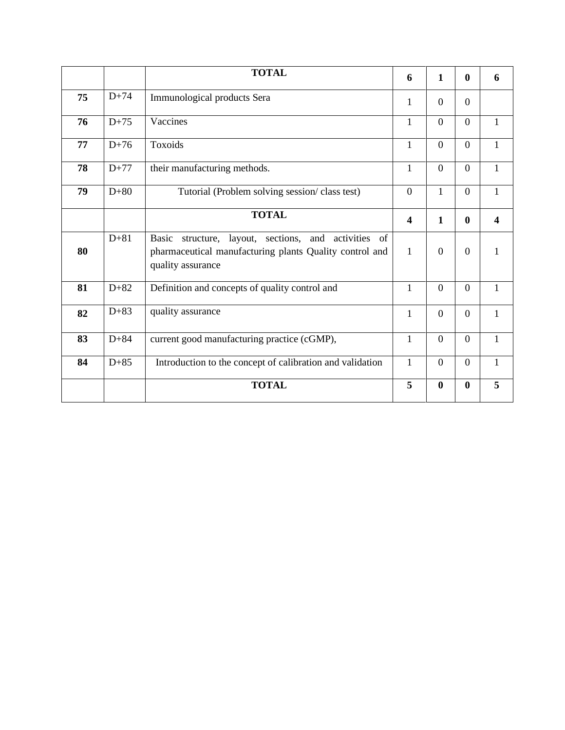|    |        | <b>TOTAL</b>                                                                                                                            | 6                       | 1              | $\bf{0}$         | 6 |
|----|--------|-----------------------------------------------------------------------------------------------------------------------------------------|-------------------------|----------------|------------------|---|
| 75 | $D+74$ | Immunological products Sera                                                                                                             | 1                       | $\Omega$       | $\Omega$         |   |
| 76 | $D+75$ | Vaccines                                                                                                                                | $\mathbf{1}$            | $\overline{0}$ | $\overline{0}$   | 1 |
| 77 | $D+76$ | Toxoids                                                                                                                                 | $\mathbf{1}$            | $\overline{0}$ | $\overline{0}$   | 1 |
| 78 | $D+77$ | their manufacturing methods.                                                                                                            | $\mathbf{1}$            | $\theta$       | $\overline{0}$   |   |
| 79 | $D+80$ | Tutorial (Problem solving session/class test)                                                                                           | $\boldsymbol{0}$        | $\mathbf{1}$   | $\boldsymbol{0}$ | 1 |
|    |        | <b>TOTAL</b>                                                                                                                            | $\overline{\mathbf{4}}$ | $\mathbf{1}$   | $\bf{0}$         | 4 |
| 80 | $D+81$ | Basic<br>structure, layout, sections, and activities of<br>pharmaceutical manufacturing plants Quality control and<br>quality assurance | $\mathbf{1}$            | $\Omega$       | $\overline{0}$   |   |
| 81 | $D+82$ | Definition and concepts of quality control and                                                                                          | $\mathbf{1}$            | $\overline{0}$ | $\overline{0}$   | 1 |
| 82 | $D+83$ | quality assurance                                                                                                                       | $\mathbf{1}$            | $\overline{0}$ | $\boldsymbol{0}$ | 1 |
| 83 | $D+84$ | current good manufacturing practice (cGMP),                                                                                             | $\mathbf{1}$            | $\Omega$       | $\overline{0}$   |   |
| 84 | $D+85$ | Introduction to the concept of calibration and validation                                                                               | $\mathbf{1}$            | $\overline{0}$ | $\overline{0}$   | 1 |
|    |        | <b>TOTAL</b>                                                                                                                            | 5                       | $\mathbf{0}$   | $\bf{0}$         | 5 |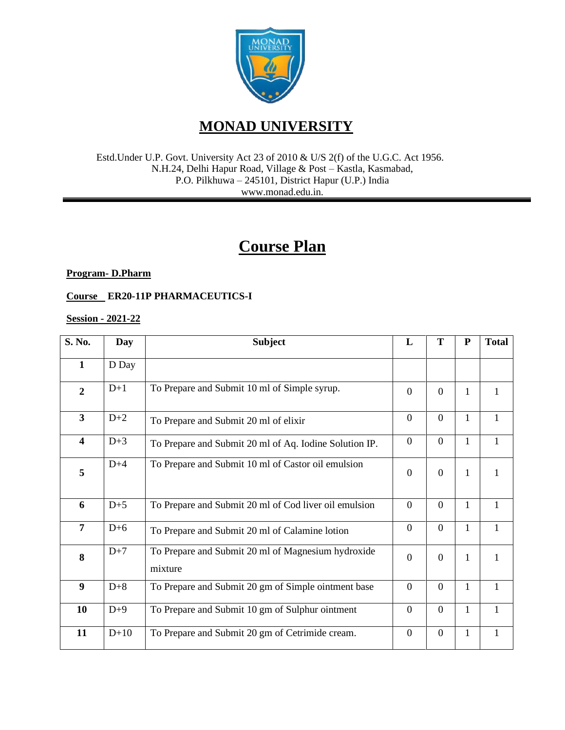

### **MONAD UNIVERSITY**

Estd.Under U.P. Govt. University Act 23 of 2010 & U/S 2(f) of the U.G.C. Act 1956. N.H.24, Delhi Hapur Road, Village & Post – Kastla, Kasmabad, P.O. Pilkhuwa – 245101, District Hapur (U.P.) India www.monad.edu.in.

## **Course Plan**

**Program- D.Pharm**

**Course ER20-11P PHARMACEUTICS-I**

**Session - 2021-22**

| S. No.                  | <b>Day</b> | <b>Subject</b>                                                | L              | T              | $\mathbf{P}$ | <b>Total</b> |
|-------------------------|------------|---------------------------------------------------------------|----------------|----------------|--------------|--------------|
| $\mathbf{1}$            | D Day      |                                                               |                |                |              |              |
| $\overline{2}$          | $D+1$      | To Prepare and Submit 10 ml of Simple syrup.                  | $\theta$       | $\overline{0}$ | 1            | 1            |
| $\overline{3}$          | $D+2$      | To Prepare and Submit 20 ml of elixir                         | $\overline{0}$ | $\overline{0}$ | 1            | $\mathbf{1}$ |
| $\overline{\mathbf{4}}$ | $D+3$      | To Prepare and Submit 20 ml of Aq. Iodine Solution IP.        | $\overline{0}$ | $\overline{0}$ | 1            | 1            |
| 5                       | $D+4$      | To Prepare and Submit 10 ml of Castor oil emulsion            | $\overline{0}$ | $\Omega$       | 1            |              |
| 6                       | $D+5$      | To Prepare and Submit 20 ml of Cod liver oil emulsion         | $\overline{0}$ | $\Omega$       | 1            | $\mathbf{1}$ |
| $\overline{7}$          | $D+6$      | To Prepare and Submit 20 ml of Calamine lotion                | $\overline{0}$ | $\overline{0}$ | $\mathbf{1}$ | $\mathbf{1}$ |
| 8                       | $D+7$      | To Prepare and Submit 20 ml of Magnesium hydroxide<br>mixture | $\overline{0}$ | $\Omega$       | 1            | 1            |
| 9                       | $D+8$      | To Prepare and Submit 20 gm of Simple ointment base           | $\overline{0}$ | $\overline{0}$ | 1            | $\mathbf{1}$ |
| 10                      | $D+9$      | To Prepare and Submit 10 gm of Sulphur ointment               | $\overline{0}$ | $\overline{0}$ | 1            | $\mathbf{1}$ |
| 11                      | $D+10$     | To Prepare and Submit 20 gm of Cetrimide cream.               | $\overline{0}$ | $\overline{0}$ | 1            | $\mathbf{1}$ |